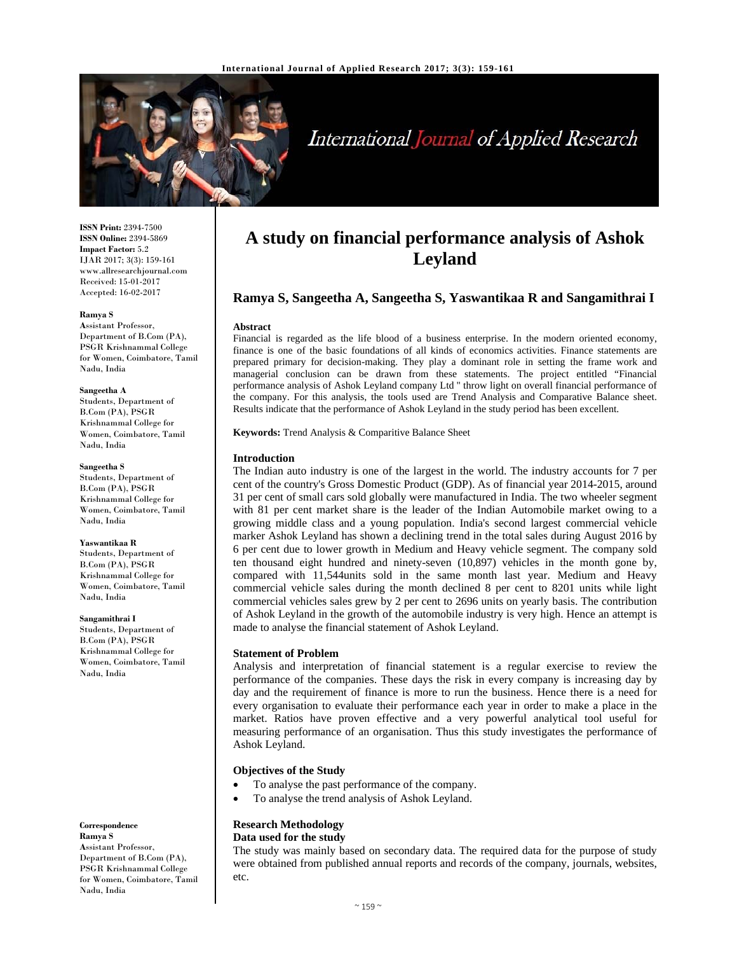

# International Journal of Applied Research

**ISSN Print:** 2394-7500 **ISSN Online:** 2394-5869 **Impact Factor:** 5.2 IJAR 2017; 3(3): 159-161 www.allresearchjournal.com Received: 15-01-2017 Accepted: 16-02-2017

#### **Ramya S**

**A**ssistant Professor, Department of B.Com (PA), PSGR Krishnammal College for Women, Coimbatore, Tamil Nadu, India

#### **Sangeetha A**

Students, Department of B.Com (PA), PSGR Krishnammal College for Women, Coimbatore, Tamil Nadu, India

#### **Sangeetha S**

Students, Department of B.Com (PA), PSGR Krishnammal College for Women, Coimbatore, Tamil Nadu, India

#### **Yaswantikaa R**

Students, Department of B.Com (PA), PSGR Krishnammal College for Women, Coimbatore, Tamil Nadu, India

#### **Sangamithrai I**

Students, Department of B.Com (PA), PSGR Krishnammal College for Women, Coimbatore, Tamil Nadu, India

**Correspondence Ramya S A**ssistant Professor, Department of B.Com (PA), PSGR Krishnammal College for Women, Coimbatore, Tamil Nadu, India

## **A study on financial performance analysis of Ashok Leyland**

## **Ramya S, Sangeetha A, Sangeetha S, Yaswantikaa R and Sangamithrai I**

#### **Abstract**

Financial is regarded as the life blood of a business enterprise. In the modern oriented economy, finance is one of the basic foundations of all kinds of economics activities. Finance statements are prepared primary for decision-making. They play a dominant role in setting the frame work and managerial conclusion can be drawn from these statements. The project entitled "Financial performance analysis of Ashok Leyland company Ltd '' throw light on overall financial performance of the company. For this analysis, the tools used are Trend Analysis and Comparative Balance sheet. Results indicate that the performance of Ashok Leyland in the study period has been excellent.

**Keywords:** Trend Analysis & Comparitive Balance Sheet

## **Introduction**

The Indian auto industry is one of the largest in the world. The industry accounts for 7 per cent of the country's Gross Domestic Product (GDP). As of financial year 2014-2015, around 31 per cent of small cars sold globally were manufactured in India. The two wheeler segment with 81 per cent market share is the leader of the Indian Automobile market owing to a growing middle class and a young population. India's second largest commercial vehicle marker Ashok Leyland has shown a declining trend in the total sales during August 2016 by 6 per cent due to lower growth in Medium and Heavy vehicle segment. The company sold ten thousand eight hundred and ninety-seven (10,897) vehicles in the month gone by, compared with 11,544units sold in the same month last year. Medium and Heavy commercial vehicle sales during the month declined 8 per cent to 8201 units while light commercial vehicles sales grew by 2 per cent to 2696 units on yearly basis. The contribution of Ashok Leyland in the growth of the automobile industry is very high. Hence an attempt is made to analyse the financial statement of Ashok Leyland.

## **Statement of Problem**

Analysis and interpretation of financial statement is a regular exercise to review the performance of the companies. These days the risk in every company is increasing day by day and the requirement of finance is more to run the business. Hence there is a need for every organisation to evaluate their performance each year in order to make a place in the market. Ratios have proven effective and a very powerful analytical tool useful for measuring performance of an organisation. Thus this study investigates the performance of Ashok Leyland.

## **Objectives of the Study**

- To analyse the past performance of the company.
- To analyse the trend analysis of Ashok Leyland.

## **Research Methodology Data used for the study**

The study was mainly based on secondary data. The required data for the purpose of study were obtained from published annual reports and records of the company, journals, websites, etc.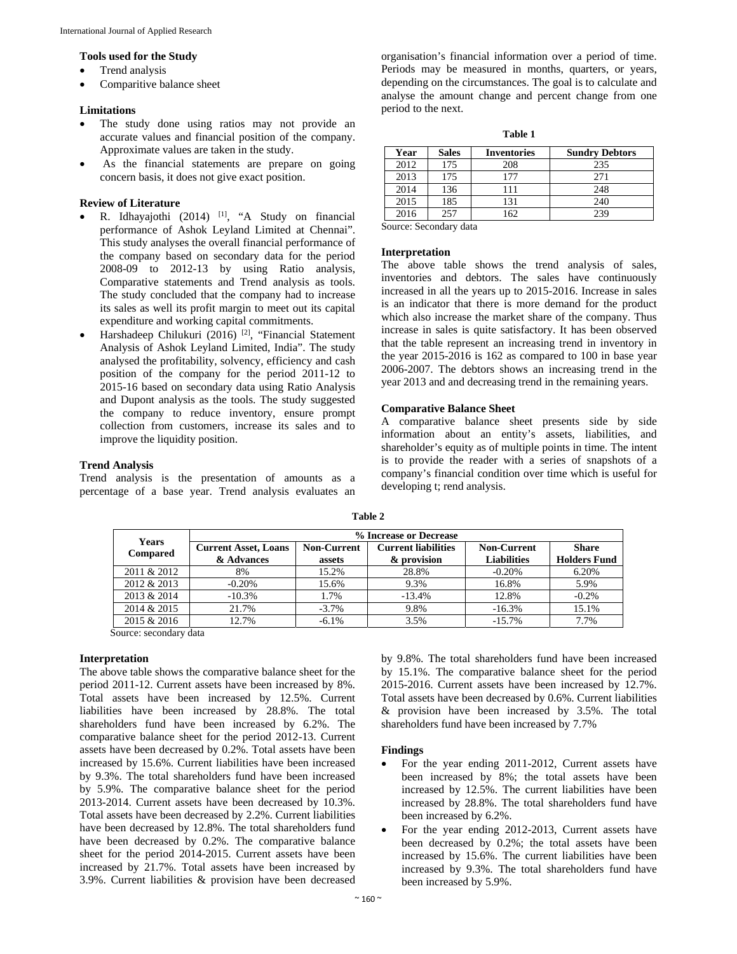#### **Tools used for the Study**

- Trend analysis
- Comparitive balance sheet

#### **Limitations**

- The study done using ratios may not provide an accurate values and financial position of the company. Approximate values are taken in the study.
- As the financial statements are prepare on going concern basis, it does not give exact position.

#### **Review of Literature**

- R. Idhayajothi (2014) [1], "A Study on financial performance of Ashok Leyland Limited at Chennai". This study analyses the overall financial performance of the company based on secondary data for the period 2008-09 to 2012-13 by using Ratio analysis, Comparative statements and Trend analysis as tools. The study concluded that the company had to increase its sales as well its profit margin to meet out its capital expenditure and working capital commitments.
- Harshadeep Chilukuri (2016) [2], "Financial Statement Analysis of Ashok Leyland Limited, India". The study analysed the profitability, solvency, efficiency and cash position of the company for the period 2011-12 to 2015-16 based on secondary data using Ratio Analysis and Dupont analysis as the tools. The study suggested the company to reduce inventory, ensure prompt collection from customers, increase its sales and to improve the liquidity position.

## **Trend Analysis**

Trend analysis is the presentation of amounts as a percentage of a base year. Trend analysis evaluates an

organisation's financial information over a period of time. Periods may be measured in months, quarters, or years, depending on the circumstances. The goal is to calculate and analyse the amount change and percent change from one period to the next.

**Table 1** 

| Year | <b>Sales</b> | <b>Inventories</b> | <b>Sundry Debtors</b> |  |
|------|--------------|--------------------|-----------------------|--|
| 2012 | 175          | 208                | 235                   |  |
| 2013 | 175          | 177                | 271                   |  |
| 2014 | 136          | 111                | 248                   |  |
| 2015 | 185          | 131                | 240                   |  |
| 2016 | 257          | 162                | 239                   |  |

Source: Secondary data

#### **Interpretation**

The above table shows the trend analysis of sales, inventories and debtors. The sales have continuously increased in all the years up to 2015-2016. Increase in sales is an indicator that there is more demand for the product which also increase the market share of the company. Thus increase in sales is quite satisfactory. It has been observed that the table represent an increasing trend in inventory in the year 2015-2016 is 162 as compared to 100 in base year 2006-2007. The debtors shows an increasing trend in the year 2013 and and decreasing trend in the remaining years.

### **Comparative Balance Sheet**

A comparative balance sheet presents side by side information about an entity's assets, liabilities, and shareholder's equity as of multiple points in time. The intent is to provide the reader with a series of snapshots of a company's financial condition over time which is useful for developing t; rend analysis.

| <b>Years</b><br><b>Compared</b> | % Increase or Decrease      |                    |                            |                    |                     |  |
|---------------------------------|-----------------------------|--------------------|----------------------------|--------------------|---------------------|--|
|                                 | <b>Current Asset, Loans</b> | <b>Non-Current</b> | <b>Current liabilities</b> | <b>Non-Current</b> | <b>Share</b>        |  |
|                                 | & Advances                  | assets             | & provision                | <b>Liabilities</b> | <b>Holders Fund</b> |  |
| 2011 & 2012                     | 8%                          | 15.2%              | 28.8%                      | $-0.20%$           | 6.20%               |  |
| 2012 & 2013                     | $-0.20%$                    | 15.6%              | 9.3%                       | 16.8%              | 5.9%                |  |
| 2013 & 2014                     | $-10.3%$                    | 1.7%               | $-13.4%$                   | 12.8%              | $-0.2%$             |  |
| 2014 & 2015                     | 21.7%                       | $-3.7\%$           | 9.8%                       | $-16.3%$           | 15.1%               |  |
| 2015 & 2016                     | 12.7%                       | $-6.1\%$           | 3.5%                       | $-15.7\%$          | 7.7%                |  |

**Table 2** 

Source: secondary data

#### **Interpretation**

The above table shows the comparative balance sheet for the period 2011-12. Current assets have been increased by 8%. Total assets have been increased by 12.5%. Current liabilities have been increased by 28.8%. The total shareholders fund have been increased by 6.2%. The comparative balance sheet for the period 2012-13. Current assets have been decreased by 0.2%. Total assets have been increased by 15.6%. Current liabilities have been increased by 9.3%. The total shareholders fund have been increased by 5.9%. The comparative balance sheet for the period 2013-2014. Current assets have been decreased by 10.3%. Total assets have been decreased by 2.2%. Current liabilities have been decreased by 12.8%. The total shareholders fund have been decreased by 0.2%. The comparative balance sheet for the period 2014-2015. Current assets have been increased by 21.7%. Total assets have been increased by 3.9%. Current liabilities & provision have been decreased

by 9.8%. The total shareholders fund have been increased by 15.1%. The comparative balance sheet for the period 2015-2016. Current assets have been increased by 12.7%. Total assets have been decreased by 0.6%. Current liabilities & provision have been increased by 3.5%. The total shareholders fund have been increased by 7.7%

#### **Findings**

- For the year ending 2011-2012, Current assets have been increased by 8%; the total assets have been increased by 12.5%. The current liabilities have been increased by 28.8%. The total shareholders fund have been increased by 6.2%.
- For the year ending 2012-2013, Current assets have been decreased by 0.2%; the total assets have been increased by 15.6%. The current liabilities have been increased by 9.3%. The total shareholders fund have been increased by 5.9%.